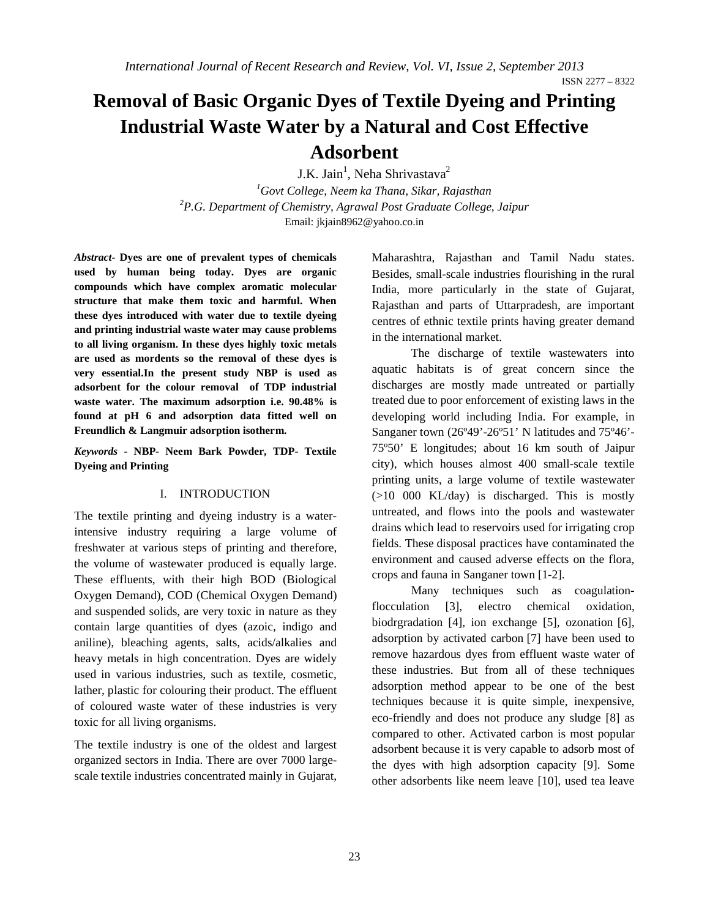ISSN 2277 – 8322

# **Removal of Basic Organic Dyes of Textile Dyeing and Printing Industrial Waste Water by a Natural and Cost Effective Adsorbent**

J.K. Jain<sup>1</sup>, Neha Shrivastava<sup>2</sup>

<sup>1</sup> Govt College, Neem ka Thana, Sikar, Rajasthan <sup>2</sup> B.C. Department of Chamistry, Agraved Bost Craduate College *P.G. Department of Chemistry, Agrawal Post Graduate College, Jaipur* Email: jkjain8962@yahoo.co.in

*Abstract***- Dyes are one of prevalent types of chemicals used by human being today. Dyes are organic compounds which have complex aromatic molecular structure that make them toxic and harmful. When these dyes introduced with water due to textile dyeing and printing industrial waste water may cause problems to all living organism. In these dyes highly toxic metals are used as mordents so the removal of these dyes is very essential.In the present study NBP is used as adsorbent for the colour removal of TDP industrial waste water. The maximum adsorption i.e. 90.48% is found at pH 6 and adsorption data fitted well on Freundlich & Langmuir adsorption isotherm.**

*Keywords* **- NBP- Neem Bark Powder, TDP- Textile Dyeing and Printing**

## I. INTRODUCTION

The textile printing and dyeing industry is a waterintensive industry requiring a large volume of freshwater at various steps of printing and therefore, the volume of wastewater produced is equally large. These effluents, with their high BOD (Biological Oxygen Demand), COD (Chemical Oxygen Demand) and suspended solids, are very toxic in nature as they contain large quantities of dyes (azoic, indigo and aniline), bleaching agents, salts, acids/alkalies and heavy metals in high concentration. Dyes are widely used in various industries, such as textile, cosmetic, lather, plastic for colouring their product. The effluent of coloured waste water of these industries is very toxic for all living organisms.

The textile industry is one of the oldest and largest organized sectors in India. There are over 7000 largescale textile industries concentrated mainly in Gujarat,

Maharashtra, Rajasthan and Tamil Nadu states. Besides, small-scale industries flourishing in the rural India, more particularly in the state of Gujarat, Rajasthan and parts of Uttarpradesh, are important centres of ethnic textile prints having greater demand in the international market.

 The discharge of textile wastewaters into aquatic habitats is of great concern since the discharges are mostly made untreated or partially treated due to poor enforcement of existing laws in the developing world including India. For example, in Sanganer town (26º49'-26º51' N latitudes and 75º46'- 75º50' E longitudes; about 16 km south of Jaipur city), which houses almost 400 small-scale textile printing units, a large volume of textile wastewater (>10 000 KL/day) is discharged. This is mostly untreated, and flows into the pools and wastewater drains which lead to reservoirs used for irrigating crop fields. These disposal practices have contaminated the environment and caused adverse effects on the flora, crops and fauna in Sanganer town [1-2].

Many techniques such as coagulationflocculation [3], electro chemical oxidation, biodrgradation [4], ion exchange [5], ozonation [6], adsorption by activated carbon [7] have been used to remove hazardous dyes from effluent waste water of these industries. But from all of these techniques adsorption method appear to be one of the best techniques because it is quite simple, inexpensive, eco-friendly and does not produce any sludge [8] as compared to other. Activated carbon is most popular adsorbent because it is very capable to adsorb most of the dyes with high adsorption capacity [9]. Some other adsorbents like neem leave [10], used tea leave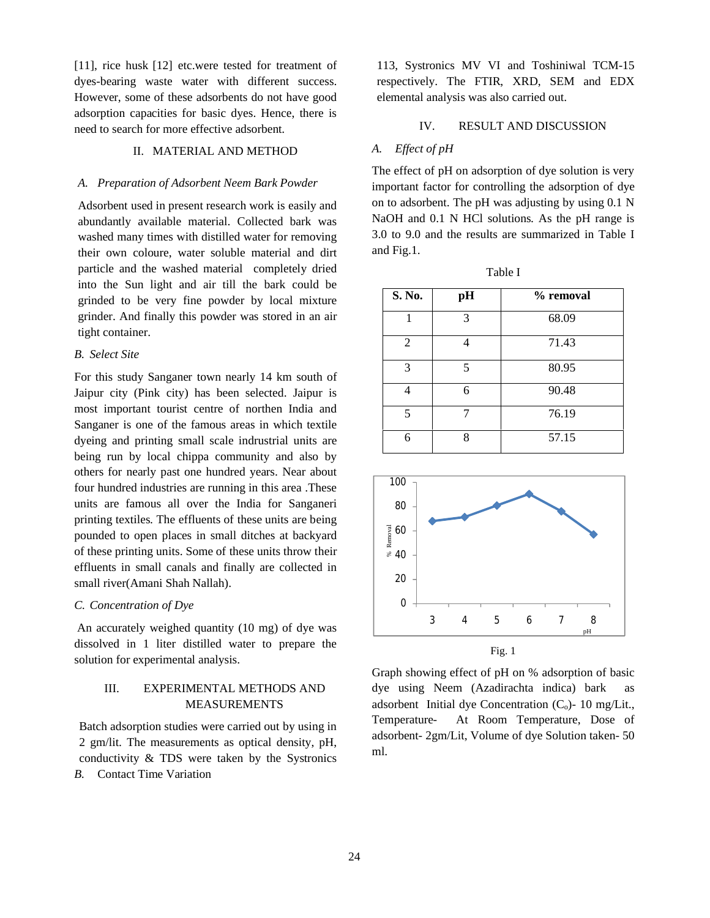[11], rice husk [12] etc.were tested for treatment of dyes-bearing waste water with different success. However, some of these adsorbents do not have good adsorption capacities for basic dyes. Hence, there is need to search for more effective adsorbent.

## II. MATERIAL AND METHOD

#### *A. Preparation of Adsorbent Neem Bark Powder*

Adsorbent used in present research work is easily and abundantly available material. Collected bark was washed many times with distilled water for removing their own coloure, water soluble material and dirt particle and the washed material completely dried into the Sun light and air till the bark could be grinded to be very fine powder by local mixture grinder. And finally this powder was stored in an air tight container.

## *B. Select Site*

For this study Sanganer town nearly 14 km south of Jaipur city (Pink city) has been selected. Jaipur is most important tourist centre of northen India and Sanganer is one of the famous areas in which textile dyeing and printing small scale indrustrial units are being run by local chippa community and also by others for nearly past one hundred years. Near about four hundred industries are running in this area .These units are famous all over the India for Sanganeri printing textiles. The effluents of these units are being pounded to open places in small ditches at backyard of these printing units. Some of these units throw their effluents in small canals and finally are collected in small river(Amani Shah Nallah).

## *C. Concentration of Dye*

An accurately weighed quantity (10 mg) of dye was dissolved in 1 liter distilled water to prepare the solution for experimental analysis.

# III. EXPERIMENTAL METHODS AND MEASUREMENTS

Batch adsorption studies were carried out by using in 2 gm/lit. The measurements as optical density, pH, conductivity & TDS were taken by the Systronics *B.* Contact Time Variation

113, Systronics MV VI and Toshiniwal TCM-15 respectively. The FTIR, XRD, SEM and EDX elemental analysis was also carried out.

#### IV. RESULT AND DISCUSSION

## *A. Effect of pH*

The effect of pH on adsorption of dye solution is very important factor for controlling the adsorption of dye on to adsorbent. The pH was adjusting by using 0.1 N NaOH and 0.1 N HCl solutions. As the pH range is 3.0 to 9.0 and the results are summarized in Table I and Fig.1.

| S. No. | pH | % removal |
|--------|----|-----------|
| 1      | 3  | 68.09     |
| 2      |    | 71.43     |
| 3      | 5  | 80.95     |
| Λ      | 6  | 90.48     |
| 5      | 7  | 76.19     |
| 6      | 8  | 57.15     |

Table I



Fig. 1

Graph showing effect of pH on % adsorption of basic dye using Neem (Azadirachta indica) bark adsorbent Initial dye Concentration  $(C_0)$ - 10 mg/Lit., Temperature- At Room Temperature, Dose of adsorbent- 2gm/Lit, Volume of dye Solution taken- 50 ml.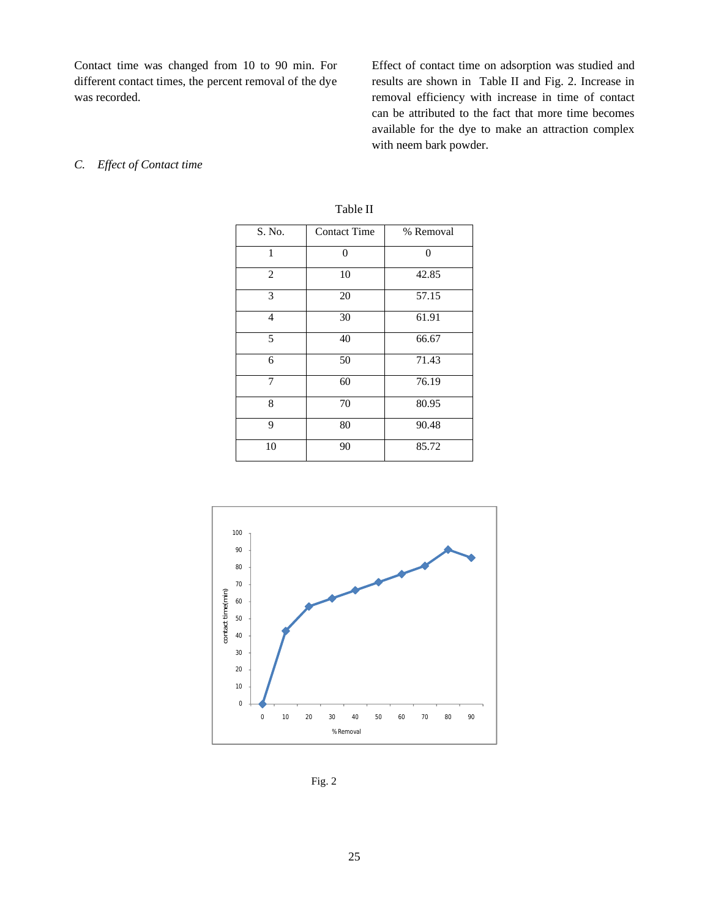Contact time was changed from 10 to 90 min. For different contact times, the percent removal of the dye was recorded.

Effect of contact time on adsorption was studied and results are shown in Table II and Fig. 2. Increase in removal efficiency with increase in time of contact can be attributed to the fact that more time becomes available for the dye to make an attraction complex with neem bark powder.

## *C. Effect of Contact time*

| S. No.         | <b>Contact Time</b> | % Removal |  |  |
|----------------|---------------------|-----------|--|--|
| 1              | 0                   | 0         |  |  |
| $\overline{2}$ | 10                  | 42.85     |  |  |
| 3              | 20                  | 57.15     |  |  |
| $\overline{4}$ | 30                  | 61.91     |  |  |
| 5              | 40                  | 66.67     |  |  |
| 6              | 50                  | 71.43     |  |  |
| 7              | 60                  | 76.19     |  |  |
| 8              | 70                  | 80.95     |  |  |
| 9              | 80                  | 90.48     |  |  |
| 10             | 90                  | 85.72     |  |  |





Fig. 2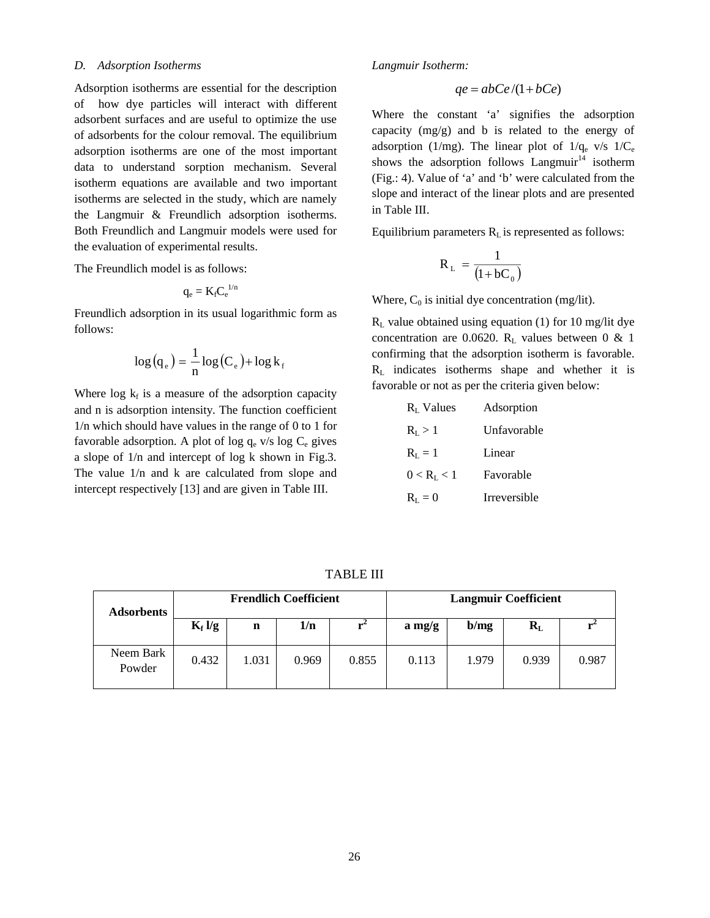## *D. Adsorption Isotherms*

Adsorption isotherms are essential for the description of how dye particles will interact with different adsorbent surfaces and are useful to optimize the use of adsorbents for the colour removal. The equilibrium adsorption isotherms are one of the most important data to understand sorption mechanism. Several isotherm equations are available and two important isotherms are selected in the study, which are namely the Langmuir & Freundlich adsorption isotherms. Both Freundlich and Langmuir models were used for the evaluation of experimental results.

The Freundlich model is as follows:

$$
q_e = K_f C_e^{\ 1/n}
$$

Freundlich adsorption in its usual logarithmic form as follows:

$$
\log(q_e) = \frac{1}{n} \log(C_e) + \log k_f
$$

Where  $\log k_f$  is a measure of the adsorption capacity and n is adsorption intensity. The function coefficient 1/n which should have values in the range of 0 to 1 for favorable adsorption. A plot of log  $q_e$  v/s log  $C_e$  gives a slope of 1/n and intercept of log k shown in Fig.3. The value 1/n and k are calculated from slope and intercept respectively [13] and are given in Table III.

*Langmuir Isotherm:* 

$$
qe = abc e / (1 + bCe)
$$

Where the constant 'a' signifies the adsorption capacity (mg/g) and b is related to the energy of adsorption (1/mg). The linear plot of  $1/q_e$  v/s  $1/C_e$ shows the adsorption follows  $Langmuir<sup>14</sup>$  isotherm (Fig.: 4). Value of 'a' and 'b' were calculated from the slope and interact of the linear plots and are presented in Table III.

Equilibrium parameters  $R<sub>L</sub>$  is represented as follows:

$$
R_{L} = \frac{1}{(1 + bC_0)}
$$

Where,  $C_0$  is initial dye concentration (mg/lit).

 $R<sub>L</sub>$  value obtained using equation (1) for 10 mg/lit dye concentration are 0.0620.  $R_L$  values between 0 & 1 confirming that the adsorption isotherm is favorable.  $R<sub>L</sub>$  indicates isotherms shape and whether it is favorable or not as per the criteria given below:

| $R_{I}$ Values  | Adsorption         |  |  |  |
|-----------------|--------------------|--|--|--|
| $R_{I} > 1$     | <b>Unfavorable</b> |  |  |  |
| $R_{I} = 1$     | Linear             |  |  |  |
| $0 < R_{I} < 1$ | Favorable          |  |  |  |
| $R_{I}=0$       | Irreversible       |  |  |  |

TABLE III

| Adsorbents          | <b>Frendlich Coefficient</b> |       |       | <b>Langmuir Coefficient</b> |          |       |         |       |
|---------------------|------------------------------|-------|-------|-----------------------------|----------|-------|---------|-------|
|                     | $K_f \log$                   | n     | 1/n   |                             | $a$ mg/g | b/mg  | $R_{L}$ |       |
| Neem Bark<br>Powder | 0.432                        | 1.031 | 0.969 | 0.855                       | 0.113    | 1.979 | 0.939   | 0.987 |